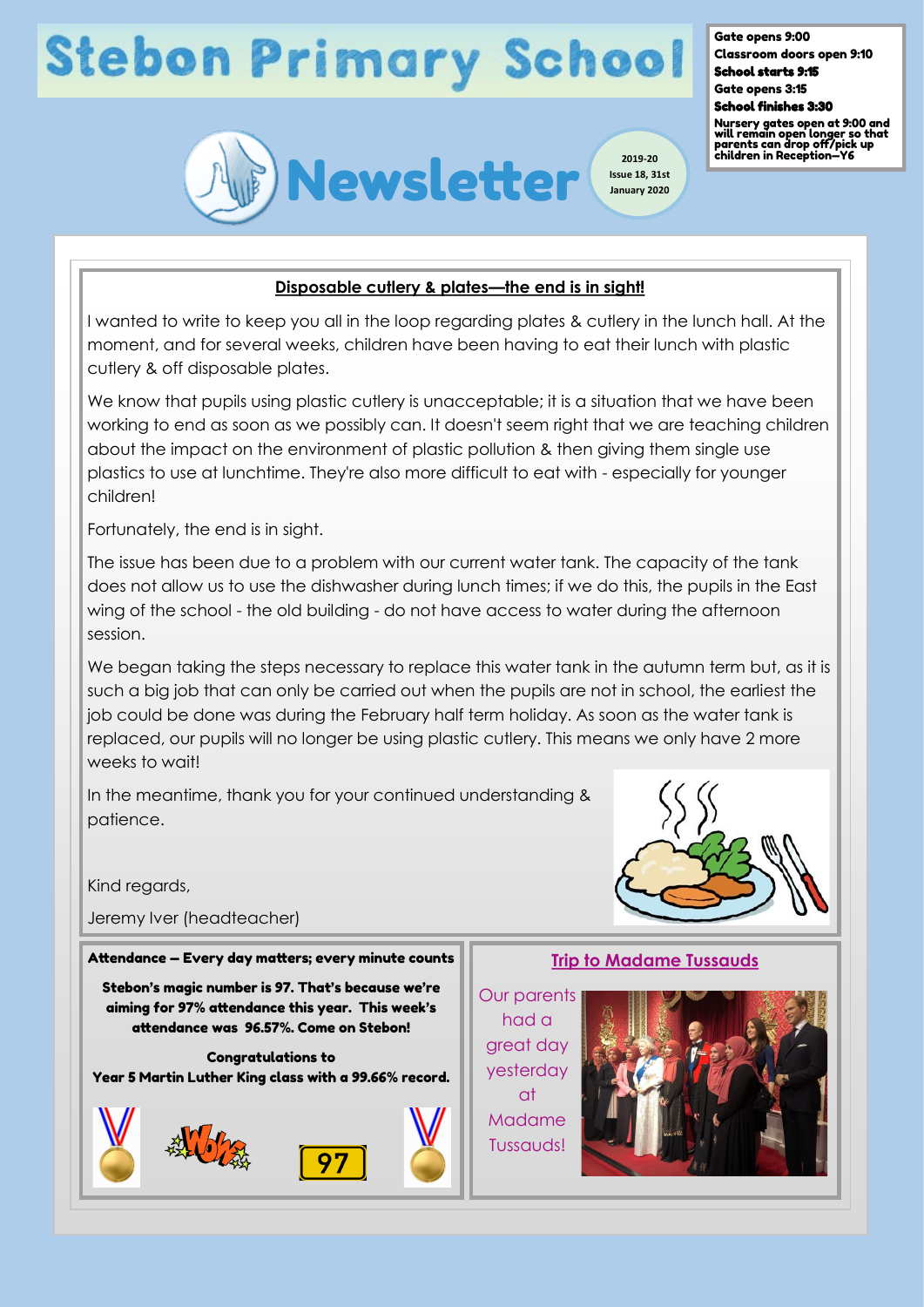# **Stebon Primary School**

Gate opens 9:00 Classroom doors open 9:10

School starts 9:15 Gate opens 3:15



Nursery gates open at 9:00 and will remain open longer so that parents can drop off/pick up children in Reception—Y6



## **Disposable cutlery & plates—the end is in sight!**

I wanted to write to keep you all in the loop regarding plates & cutlery in the lunch hall. At the moment, and for several weeks, children have been having to eat their lunch with plastic cutlery & off disposable plates.

We know that pupils using plastic cutlery is unacceptable; it is a situation that we have been working to end as soon as we possibly can. It doesn't seem right that we are teaching children about the impact on the environment of plastic pollution & then giving them single use plastics to use at lunchtime. They're also more difficult to eat with - especially for younger children!

Fortunately, the end is in sight.

The issue has been due to a problem with our current water tank. The capacity of the tank does not allow us to use the dishwasher during lunch times; if we do this, the pupils in the East wing of the school - the old building - do not have access to water during the afternoon session.

We began taking the steps necessary to replace this water tank in the autumn term but, as it is such a big job that can only be carried out when the pupils are not in school, the earliest the job could be done was during the February half term holiday. As soon as the water tank is replaced, our pupils will no longer be using plastic cutlery. This means we only have 2 more weeks to wait!

In the meantime, thank you for your continued understanding & patience.

Kind regards,

Jeremy Iver (headteacher)

#### Attendance — Every day matters; every minute counts

Stebon's magic number is 97. That's because we're aiming for 97% attendance this year. This week's attendance was 96.57%. Come on Stebon!

Congratulations to Year 5 Martin Luther King class with a 99.66% record.



### **Trip to Madame Tussauds**

Our parents had a great day yesterday at Madame Tussauds!